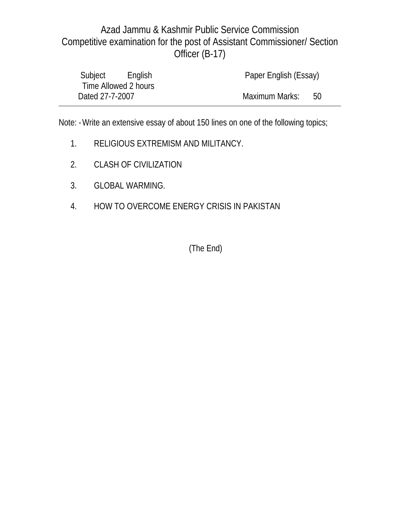|                 | Subject English      | Paper English (Essay) |     |  |
|-----------------|----------------------|-----------------------|-----|--|
|                 | Time Allowed 2 hours |                       |     |  |
| Dated 27-7-2007 |                      | Maximum Marks:        | -50 |  |

Note: - Write an extensive essay of about 150 lines on one of the following topics;

- 1. RELIGIOUS EXTREMISM AND MILITANCY.
- 2. CLASH OF CIVILIZATION
- 3. GLOBAL WARMING.
- 4. HOW TO OVERCOME ENERGY CRISIS IN PAKISTAN

(The End)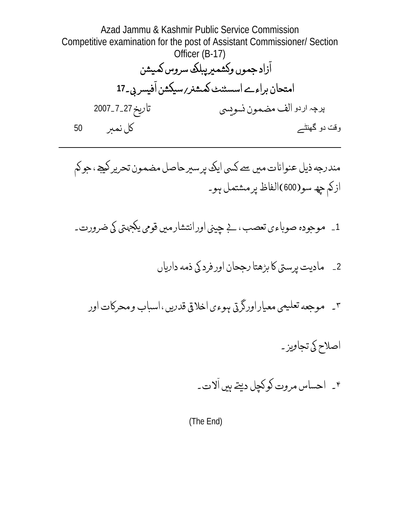Azad Jammu & Kashmir Public Service Commission Competitive examination for the post of Assistant Commissioner/ Section Officer (B-17) ازاد جموں وکشمیرپبلک سروس کمیشن ֘֒֜֜ امتحان براءے اسسٹنٹ کمشن*ر ر*سیکشن افیسر بی۔17 ֘֒֜ پرچہ اردو الف مضمون نسويي تاريخ 27\_7\_2007 وقت دو گهنٹے ş® èĻÃL <sup>&</sup>lt;<sup>50</sup>

مندرجه ذیل عنوانات میں سے نسی ایک پرسیرحاصل مضمون تحریر لیجے، جو لم .<br>.<br>. ازكم چھ سو(600)الفاظ پرمشتمل ہو۔

- 1\_ موجودہ صوباءي تعصب ، بے چيني اور انتشارميں قومي يكجهتي كي ضرورت۔
	- 2\_ ماديت پرستي كا بڑھتا رجحان اور فرد كي ذمه دارياں
	- ۳\_ موجعه تعلیمی معیاراورگرتی ہوءی اخلاقی قدریں ، اسباب ومحرکات اور
		- اصلاح کی تجاویز۔
		- ۴۔ احساس مروت کوکچل دیتے ہیں الات۔ ֘֒֜֜

(The End)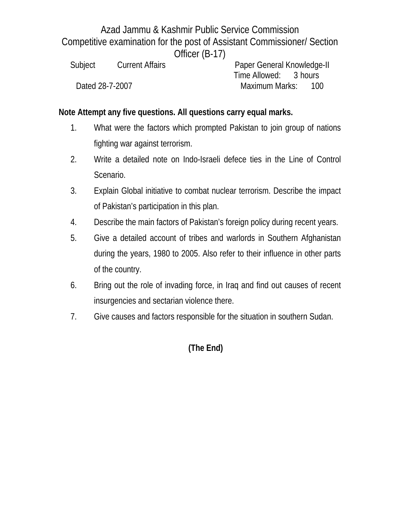| Subject         | <b>Current Affairs</b> |  | Paper General Knowledge-II |      |
|-----------------|------------------------|--|----------------------------|------|
|                 |                        |  | Time Allowed: 3 hours      |      |
| Dated 28-7-2007 |                        |  | Maximum Marks:             | -100 |

#### **Note Attempt any five questions. All questions carry equal marks.**

- 1. What were the factors which prompted Pakistan to join group of nations fighting war against terrorism.
- 2. Write a detailed note on Indo-Israeli defece ties in the Line of Control Scenario.
- 3. Explain Global initiative to combat nuclear terrorism. Describe the impact of Pakistan's participation in this plan.
- 4. Describe the main factors of Pakistan's foreign policy during recent years.
- 5. Give a detailed account of tribes and warlords in Southern Afghanistan during the years, 1980 to 2005. Also refer to their influence in other parts of the country.
- 6. Bring out the role of invading force, in Iraq and find out causes of recent insurgencies and sectarian violence there.
- 7. Give causes and factors responsible for the situation in southern Sudan.

**(The End)**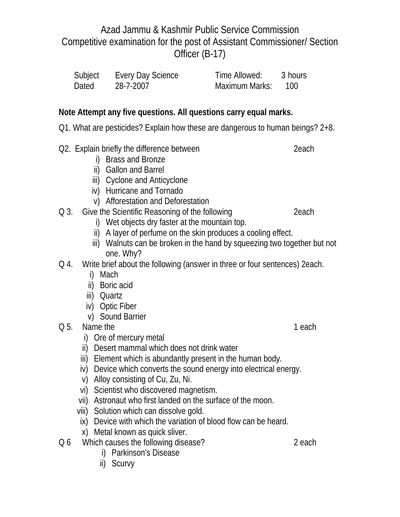| Subject | Every Day Science | Time Allowed:  | 3 hours |
|---------|-------------------|----------------|---------|
| Dated   | 28-7-2007         | Maximum Marks: | 100     |

### **Note Attempt any five questions. All questions carry equal marks.**

- Q1. What are pesticides? Explain how these are dangerous to human beings? 2+8.
- Q2. Explain briefly the difference between 202. Explain briefly the difference between
	- i) Brass and Bronze
	- ii) Gallon and Barrel
	- iii) Cyclone and Anticyclone
	- iv) Hurricane and Tornado
	- v) Afforestation and Deforestation
- Q 3. Give the Scientific Reasoning of the following 2each
	- i) Wet objects dry faster at the mountain top.
	- ii) A layer of perfume on the skin produces a cooling effect.
	- iii) Walnuts can be broken in the hand by squeezing two together but not one. Why?
- Q 4. Write brief about the following (answer in three or four sentences) 2each.
	- i) Mach
	- ii) Boric acid
	- iii) Quartz
	- iv) Optic Fiber
	- v) Sound Barrier
- Q 5. Name the 1 each contract the 1 each contract of 1 each 1 each contract of 1 each 1 each 1 each 1 each 1 each 2 and 1 each 2 and 1 each 2 and 1 each 2 and 1 each 2 and 1 each 2 and 1 each 2 and 1 each 2 and 1 each 2 an
	- i) Ore of mercury metal
	- ii) Desert mammal which does not drink water
	- iii) Element which is abundantly present in the human body.
	- iv) Device which converts the sound energy into electrical energy.
	- v) Alloy consisting of Cu, Zu, Ni.
	- vi) Scientist who discovered magnetism.
	- vii) Astronaut who first landed on the surface of the moon.
	- viii) Solution which can dissolve gold.
	- ix) Device with which the variation of blood flow can be heard.
	- x) Metal known as quick sliver.
- Q 6 Which causes the following disease? 2 each
	- i) Parkinson's Disease
	- ii) Scurvy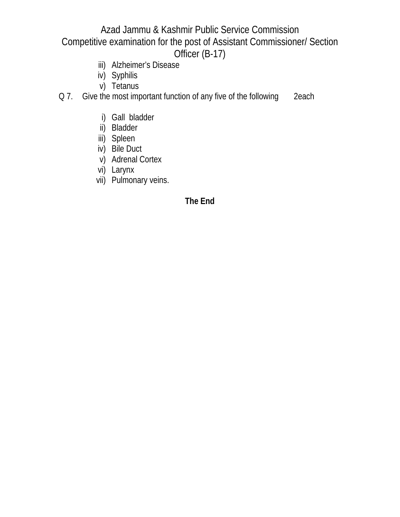- iii) Alzheimer's Disease
- iv) Syphilis
- v) Tetanus
- Q 7. Give the most important function of any five of the following 2each
	- i) Gall bladder
	- ii) Bladder
	- iii) Spleen
	- iv) Bile Duct
	- v) Adrenal Cortex
	- vi) Larynx
	- vii) Pulmonary veins.

#### **The End**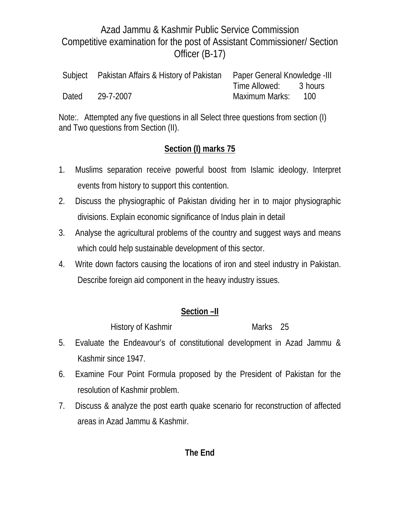|       | Subject Pakistan Affairs & History of Pakistan Paper General Knowledge -III |                       |                    |
|-------|-----------------------------------------------------------------------------|-----------------------|--------------------|
|       |                                                                             | Time Allowed: 3 hours |                    |
| Dated | 29-7-2007                                                                   | Maximum Marks:        | - 100 <sup>-</sup> |

Note:. Attempted any five questions in all Select three questions from section (I) and Two questions from Section (II).

# **Section (I) marks 75**

- 1. Muslims separation receive powerful boost from Islamic ideology. Interpret events from history to support this contention.
- 2. Discuss the physiographic of Pakistan dividing her in to major physiographic divisions. Explain economic significance of Indus plain in detail
- 3. Analyse the agricultural problems of the country and suggest ways and means which could help sustainable development of this sector.
- 4. Write down factors causing the locations of iron and steel industry in Pakistan. Describe foreign aid component in the heavy industry issues.

### **Section –II**

History of Kashmir Marks 25

- 5. Evaluate the Endeavour's of constitutional development in Azad Jammu & Kashmir since 1947.
- 6. Examine Four Point Formula proposed by the President of Pakistan for the resolution of Kashmir problem.
- 7. Discuss & analyze the post earth quake scenario for reconstruction of affected areas in Azad Jammu & Kashmir.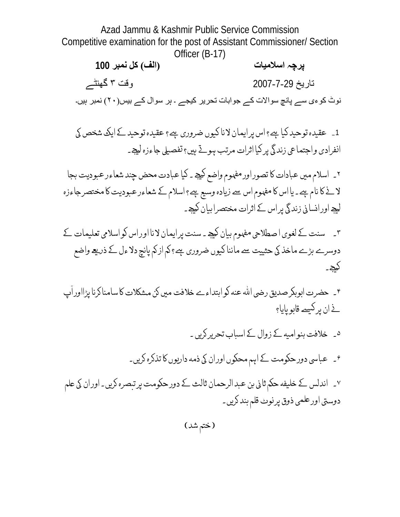**پرچہ اسلاميات (الف) کل نمبر 100** تاريخ 2007-7-29 وقت ٣ گهنٹے نوٹ کوءی سے پانچ سوالات کے جوابات تحرير کيجے ۔ ہر سوال کے بيس(٢٠) نمبر ہيں۔

1\_ عقيده توحيد كيا ہے؟ اس پر ايمان لانا كيوں ضرورى ہے؟ عقيده توحيد كے ايك شخص كي انفرادی واجتماعی زندگی پر کیا اثرات مرتب ہوئے ہیں؟ تفصیلی جاءزہ لیجے۔

۲۔ اسلام میں عبادات کا تصوراورمفہوم واضع کیجے ۔ کیا عبادت محض چند شعاءر عبودیت بجا لا لے کا نام ہے۔ یا اس کا مفہوم اس سے زیادہ وسیع ہے؟ اسلام کے شعاءر عبودیت کا مختصر جاءزہ لیجے اور انسانی زندگی پر اس کے اثرات مختصرا بیان کیجے۔

- ۳۔ سنت کے لغوی ا صطلاحی مفہوم بیان کیجے۔ سنت پر ایمان لانا اور اس کو اسلامی تعلیمات کے دوسرے بڑے ماخذ کی حثییت سے ماننا کیوں ضروری ہے؟ کم از کم پانچ دلاءل کے ذریعے واضع لیجے۔
- ۴۔ حضرت ابوبکرصدیق رضی الله عنه لوابتداءے خلافت میں کن مشکلات کا سامنا کرنا پڑااوراپ ׇׅ֘֒ <u>ے ان پر کیسے قابو پای</u>ا؟
- ہ ۔ خلافت بنو امی*ھ کے* زوال کے اسباب تحریر کریں ۔ ۶۔ عباسی دورحکومت کے اہم محکوں اوران کی ذمه داریوں کا تذکرہ کریں۔ ۷\_ اندلس کے خلیفه حکم ثانی بن عبد الرحمان ثالث کے دور حکومت پر تبصره کریں۔ اوران کی علم دوستی اور علمی ذوق پرنوٹ قلم بند کریں۔

(ختم شد)